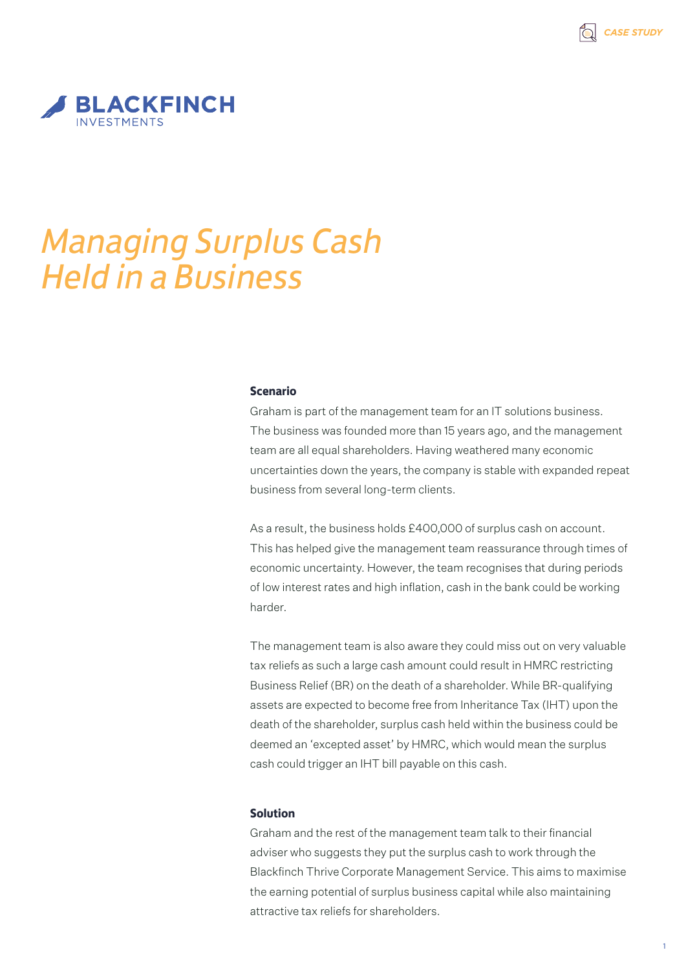

# *Managing Surplus Cash Held in a Business*

#### **Scenario**

Graham is part of the management team for an IT solutions business. The business was founded more than 15 years ago, and the management team are all equal shareholders. Having weathered many economic uncertainties down the years, the company is stable with expanded repeat business from several long-term clients.

As a result, the business holds £400,000 of surplus cash on account. This has helped give the management team reassurance through times of economic uncertainty. However, the team recognises that during periods of low interest rates and high inflation, cash in the bank could be working harder.

The management team is also aware they could miss out on very valuable tax reliefs as such a large cash amount could result in HMRC restricting Business Relief (BR) on the death of a shareholder. While BR-qualifying assets are expected to become free from Inheritance Tax (IHT) upon the death of the shareholder, surplus cash held within the business could be deemed an 'excepted asset' by HMRC, which would mean the surplus cash could trigger an IHT bill payable on this cash.

### **Solution**

Graham and the rest of the management team talk to their financial adviser who suggests they put the surplus cash to work through the Blackfinch Thrive Corporate Management Service. This aims to maximise the earning potential of surplus business capital while also maintaining attractive tax reliefs for shareholders.